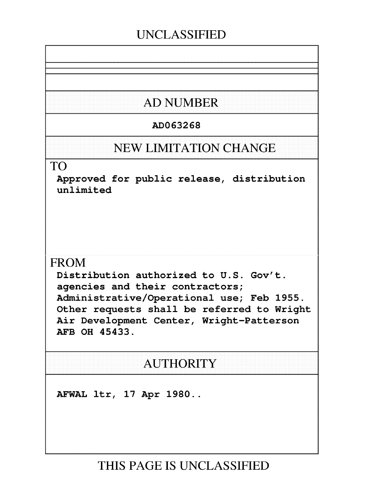## **UNCLASSIFIED**

## **AD NUMBER**

## AD063268

## **NEW LIMITATION CHANGE**

### TO

Approved for public release, distribution unlimited

## FROM

Distribution authorized to U.S. Gov't. agencies and their contractors; Administrative/Operational use; Feb 1955. Other requests shall be referred to Wright Air Development Center, Wright-Patterson AFB OH 45433.

## AUTHORITY

AFWAL ltr, 17 Apr 1980..

## **THIS PAGE IS UNCLASSIFIED**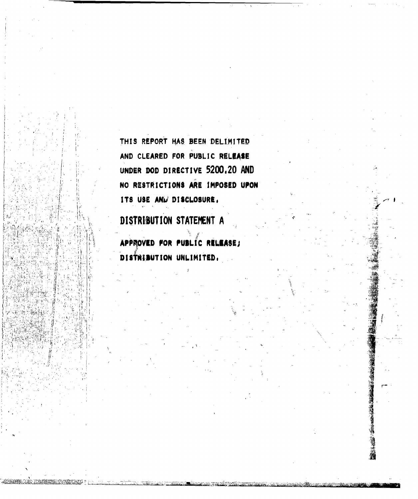THIS REPORT HAS BEEN DELIMITED AND CLEARED FOR PUBLIC RELEASE UNDER DOD DIRECTIVE 5200.20 AND NO RESTRICTIONS ARE IMPOSED UPON ITS USE AND DISCLOSURE.

DISTRIBUTION STATEMENT A

APPROVED FOR PUBLIC RELEASE; DISTRIBUTION UNLIMITED.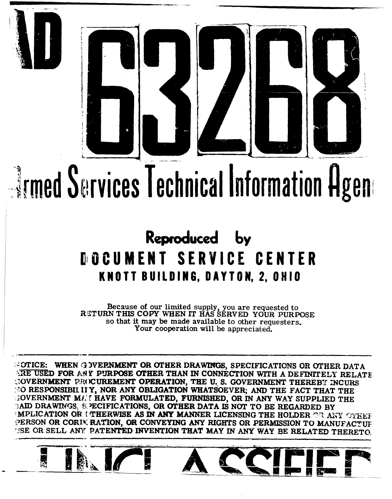

# *Imed Sarvices Technical Information Agene*

## Reproduced by **DOCUMENT SERVICE CENTER** KNOTT BUILDING, DAYTON, 2, OHIO

Because of our limited supply, you are requested to<br>RETURN THIS COPY WHEN IT HAS SERVED YOUR PURPOSE so that it may be made available to other requesters. Your cooperation will be appreciated.

**COTICE: WHEN GOVERNMENT OR OTHER DRAWINGS, SPECIFICATIONS OR OTHER DATA** SRE USED FOR ANY PURPOSE OTHER THAN IN CONNECTION WITH A DEFINITELY RELATE COVERNMENT PROCUREMENT OPERATION, THE U.S. GOVERNMENT THEREBY INCURS **SO RESPONSIBILITY, NOR ANY OBLIGATION WHATSOEVER; AND THE FACT THAT THE** GOVERNMENT MAN HAVE FORMULATED, FURNISHED, OR IN ANY WAY SUPPLIED THE GAID DRAWINGS, SPECIFICATIONS, OR OTHER DATA IS NOT TO BE REGARDED BY MPLICATION OR UTHERWISE AS IN ANY MANNER LICENSING THE HOLDER OR ANY OTHER PERSON OR CORIM RATION, OR CONVEYING ANY RIGHTS OR PERMISSION TO MANUFACTUE USE OR SELL ANY PATENTED INVENTION THAT MAY IN ANY WAY BE RELATED THERETO.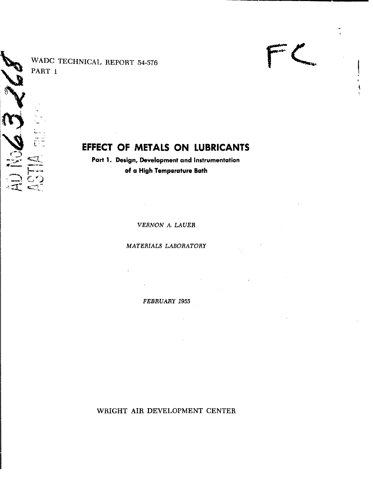WADC TECHNICAL REPORT 54-576 PART **I**

## EFFECT OF METALS ON LUBRICANTS

Part **1.** Design, Development and Instrumentation of a High Temperature Bath

*VERNON A. LAUER*

*MATERIALS LABORATORY*

 $\mathcal{L}^{\mathcal{L}}$ 

*FEBRUARY 1955*

 $\mathcal{A}$ 

WRIGHT AIR DEVELOPMENT CENTER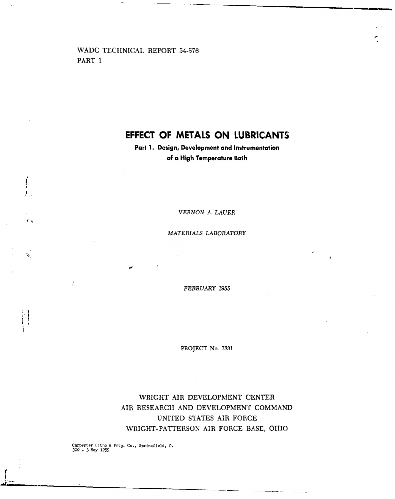WADC TECHNICAL REPORT 54-576 PART **I**

 $\overline{a}$ 

Ġ,

 $\frac{1}{2}$ 

### **EFFECT** OF **METALS ON LUBRICANTS**

Part **1.** Design, Development and Instrumentation of **a** High Temperature Bath

*VERNON* A. *LAUER*

*MATERIALS LABORATORY*

 $\mathbb{Z}^{d-1}$ 

*FEBRUARY 1955*

PROJECT No. **7831**

WRIGHT AIR DEVELOPMENT CENTER AIR RESEARCII AND DEVELOPMENT COMMAND UNITED STATES AIR FORCE WRIGHT-PATTERSON AIR FORCE BASE, **01110**

Carpenter litho & Prtg, Co., Sprinqfield, **0.** 300 - 3 Nay **1955**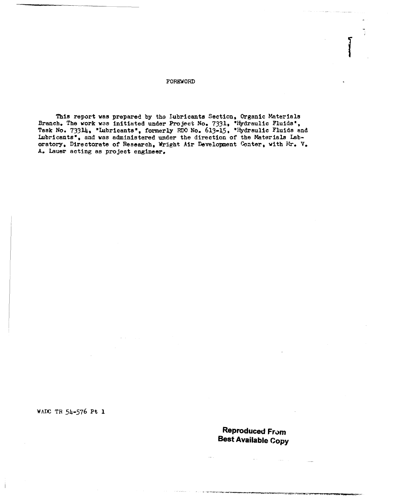FOREWORD

This report was prepared by tho lubricants Section, Organic Materials Branch. The work was initiated under Project No. 7331. "Hydraulic Fluids' Task No. 73314, "lubricants', formerly RDO No. 613-15, \*Hydraulic Fluids and Lubricants', and was administered under the direction of the Materials Laboratory, Directorate of Research, Wright Air Development Center, with Mr. V. A. Lauer acting as project engineer.

WADC TR 54-576 Pt **1**

Personal From The From The Terms of the Terms of the Terms of the Terms of the Terms of the Terms of the Terms **Reproduced From**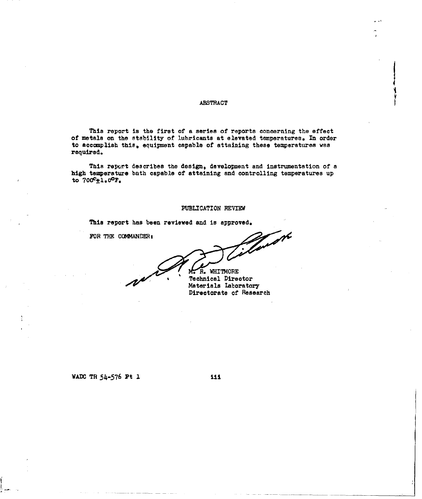#### ABSTRACT

This report is the first of a series of reports concerning the effect of metals on the stability of lubricants at elevated temperatures. In order to acconplish this, equipment capable of attaining these temperatures was required.

This report describes the design, development and instrumentation of a high temperature bath capable of attaining and controlling temperatures up to  $700^{\circ}$ ±1.0°F.

#### **PUBLICATION** REVIEW

This report has been reviewed and is approved.

FOR THE COMMANDER:

 $\mathscr{L} \times \mathscr{L} \rightarrow \mathscr{L}$ 

M. R. WHITMORE Technical Director Materials laboratory Directorate of Research

#### WADC TR 54-576 Pt 1 111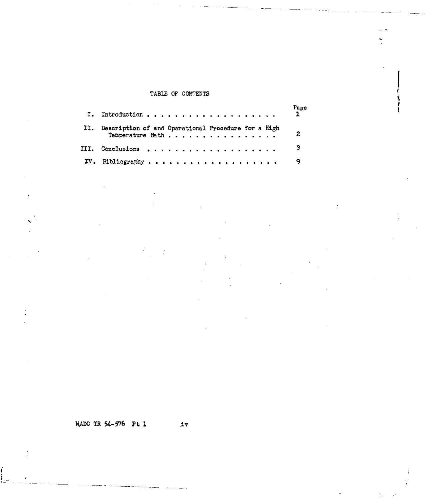#### TABLE OF CONTENTS

|                                                                             | $rac{Page}{1}$          |
|-----------------------------------------------------------------------------|-------------------------|
| II. Description of and Operational Procedure for a High<br>Temperature Bath | $\mathbf{2}$            |
| III. Conclusions                                                            | $\overline{\mathbf{3}}$ |
| IV. Bibliography                                                            |                         |

WADC TR 54-576 Pt **I** v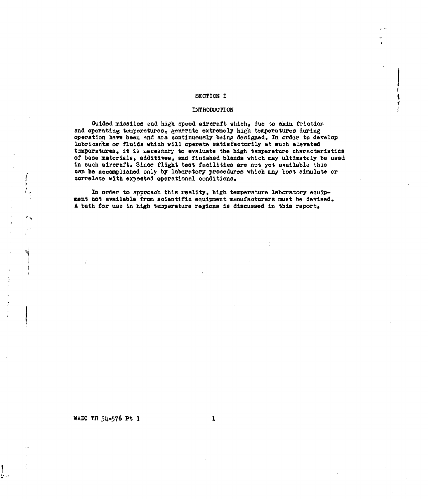#### SECTION I

 $\overline{\mathbf{I}}$ 

#### INTRODUCTI ON

Guided missiles and high speed aircraft which, due to skin friction and operating temperatures, generate extremely high temperatures during operation have been and are continuously being designed. In order to develop lubricants or fluids which will operate satisfactorily at such elevated temperatures, it is necessary to evaluate the high temperature characteristics of base materials, additives, and finished blends which may ultimately be used in such aircraft. Since flight test facilities are not yet available this can be accomplished only by laboratory procedures which may best simulate or correlate with expected operational conditions.

In order to approach this reality, high temperature laboratory equipment not available fram scientific equipment manufacturers must be devised. A bath for use in high temperature regions is discussed in this report.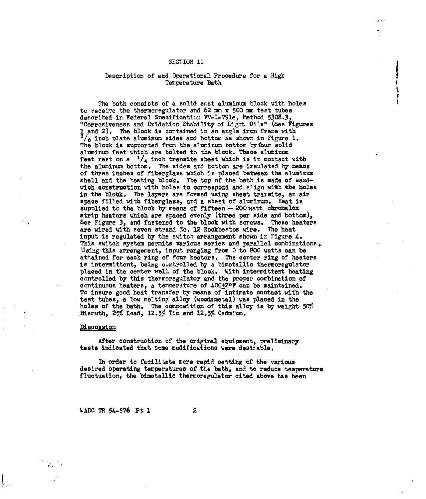#### SECTION II

## Description of and Operational Procedure for a High Temperature Bath

The bath consists of a solid cnst aluminum block with holes to receire the thermoregulator and 62 mm x 500 mm test tubes described in Federal Specification VV-L-791e, Method 5308.3, "Corrosiveness and Oxidation Stability of Light Oils" (bee Figures **1** and 2). The block is contained in an angle iron frame with **3/s** inch plate aluminum sides and bottom as shown in Figure **1.** The block is supported from the aluminum bottom byfbur solid aluminum feet which are bolted to the block. These aluminum feet rest on a  $1/4$  inch transite sheet which is in contact with the aluminum bottom. The sides and bottom are insulated by means of three inches of fiberglass which is placed between the aluminum shell and the heating block. The top of the bath is made of sandwich construction with holes to correspond and align with the holes in the block. The layers are formed using sheet transite, an air space filled with fiberglass, and a sheet of aluminum. Heat is supplied to the block by means of fifteen -- 200 watt chromalox strip heaters which are spaced evenly (three per side and bottom), See Figure 3, and fastened to the block with screws. These heaters are wired with seven strand No. 12 Rockbestos wire. The heat input is regulated by the switch arrangement shown in Figure 4. This switch system permits various series and parallel combinations. Using this arrangement, input ranging from 0 to 800 watts can be attained for each ring of four heaters. The center ring of heaters is intermittent, being controlled by a bimetallic thermoregulator placed in the center well of the block. With intermittent heating controlled by this thermoregulator and the proper combination of continuous heaters, a temperature of 400+20F can be maintained. To insure good heat transfer by means of intimate contact with the tent tubes, a low melting alloy (woodsmetal) was placed in the holes of the bath. The composition of this alloy is by weight  $50\%$ Bismuth, 25% Lead, 12.5% Tin and 12.5% Cadmium.

#### Discussion

After construction of the original equipment, preliminary tests indicated that some modifications were desirable.

In order to facilitate more rapid setting of the various desired operating temperatures of the bath, and to reduce temperature fluctuation, the bimetallic thermoregulator cited above has been

WADC TR 54-576 Pt 1 2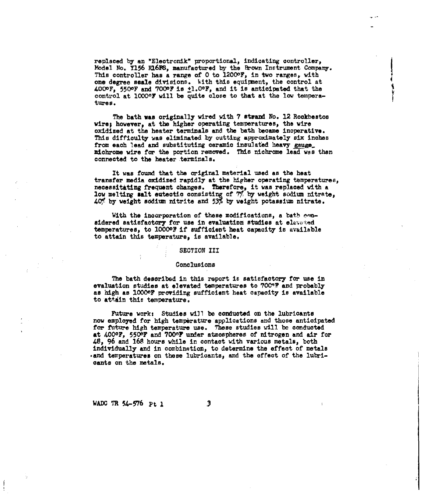replaced by an "Electronik" proportional, indicating controller, Model No. Y156 **F16P8,** manufactured **by** the Prown Instrument Company. This controller has a range of 0 to 12000F, in two ranges, with one degree seale divisions. With this equipment, the control at **4000F,, 550OF** and **0OOF** is +1.OF, and it is anticipated that the control at 10000? will be quite close to that at the low temperature s.

The bath was originally wired with 7 stvand No. 12 Rockbestos wire; however, at the higher operating temperatures, the wire oxidized at the heater terminals and the bath became inoperative. This difficulty was eliminated by outting approximately six inches from each lead and substituting ceramic insulated heavy gauge. miohrome wire for the portion removed. This niehrome lead was then connected to the heater terminals.

It was found that the original material used as the heat transfer media oxidized rapidly at the higher operating temperatures, necessitating frequent changes. Therefore, it was replaced with a low melting salt eutectic consisting of  $7\%$  by weight sodium nitrate, 401 by weight sodium nitrite and **53%** by weight potassium nitrate.

With the incorporation of these modifications, a bath enusidered satisfactory for use in evaluation studies at elevated temperatures, to **10000?** if sufficient heat capacity is available to attain this temperature, is available.

#### SECTION III

#### Conclusions

The bath described in this report is satisfactory for use in evaluation studies at elevated temperatures to **70?"1** and probably as high as 10000F providing sufficient heat capacity is available to attain this temperature.

Future work: Studies will be conducted on the lubricants now employed for high temperature applications and those anticipated for future high temperature use. These studies will be conducted at 4000F, **5500F** and 7006F under atmospheres of nitrogen and air for *48,* 96 and 168 hours while in contact with various metals, both individually and in combination, to determine the effect of metals .and temperatures on these lubricants, and the effect of the lubricants on the metals.

WADC TR 54-576 Pt 1

3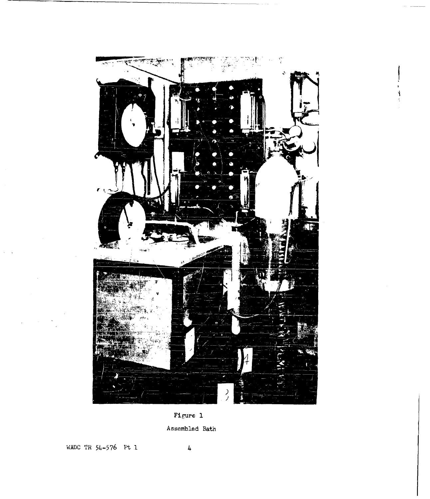

Figure **1**

Assembled Bath

WADC TR **54-576** pt **1** 4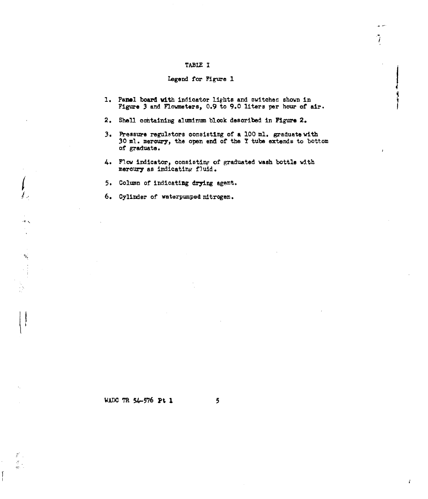#### TABLE I

#### legend for Figure 1 **I**

**1.** Panel board with indicator lights and switches shown in Figure 3 and Flowmeters, 0.9 to 9.0 liters per hour of air. ب ن  $\frac{1}{\sqrt{2}}$ 

 $\mathbf{r}$ 

- 2. Shell containing aluminum block described in **Figure** 2.
- **3.** Pressure regulstors consisting of a **100** ml. graduate with 30 ml. mercury, the open end of the Y tube extends to bottom of graduate.
- 4. Flow indicator, consistinp of graduated wash bottle with mercury as indicating fluid.
- **5.** Column of indicating drying agent.
- 6. Cylinder of waterpumped nitrogen.

 $\hat{I}$ 

in the line

 $\mathcal{F}$  .  $\frac{\pi}{\pi}$ .

#### WADC TR 54-576 Pt **1 5**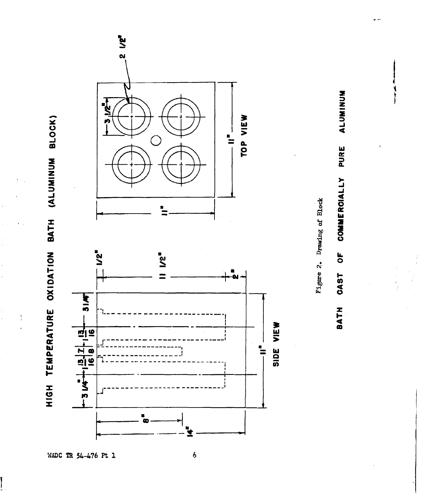

 $\frac{1}{2}$ 

 $\begin{bmatrix} 1 \\ 1 \end{bmatrix}$ 

 $\frac{\hbar}{2}$ 



**ALUMINUM** PURE COMMERCIALLY  $\overline{\sigma}$ **CAST** BATH

Figure 2. Drawing of Block

WADC TR 54-476 Pt 1

 $\ddot{\phantom{0}}$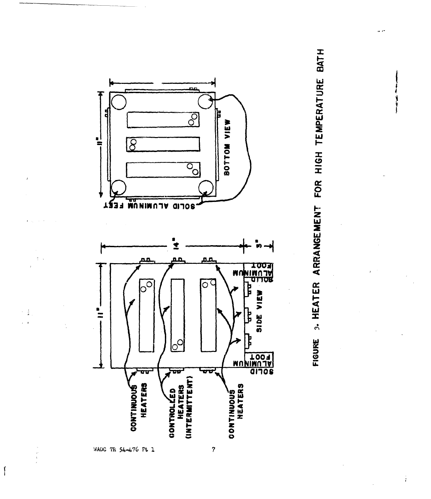



WADC TR 54-476 Pt 1

 $\tau = \frac{3}{4}$ 

 $\int$ 

Ť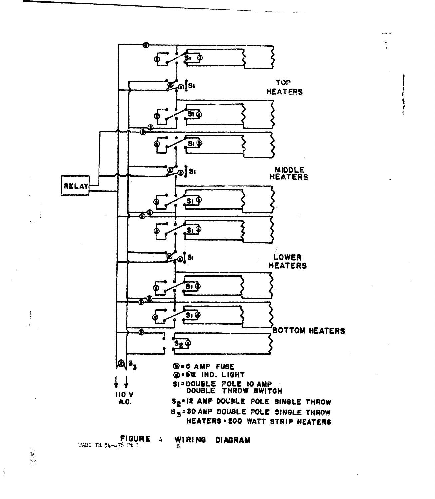

**FIGURE** 4<br>MADC TR 54-476 Pt 1

WIRING **DIAGRAM** 

 $\mathbf{f}$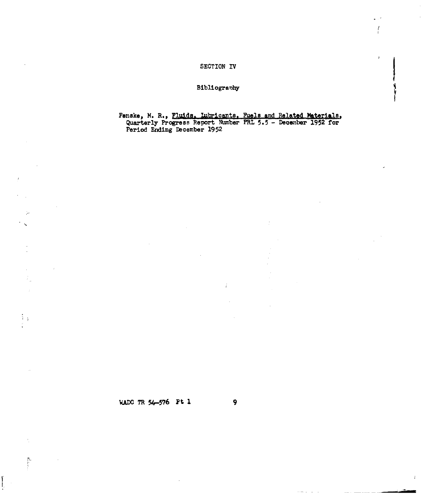#### SECTION IV

#### Bibliogranhy

Fenske, M. R., Fluids. Lubricants. Fuels and Related Materials Quarterly Progress Report Number PRL 5.5 - December 1952 for Period Ending December 1952

÷

f

Ŷ.

 $\div$ 

*WADC TR 54*-576 Pt 1 9

 $\mathcal{V}_A$ ÷

 $\mathcal{D}_\mathbf{p}$ 

 $\begin{matrix} \mathbf{1} \end{matrix}$